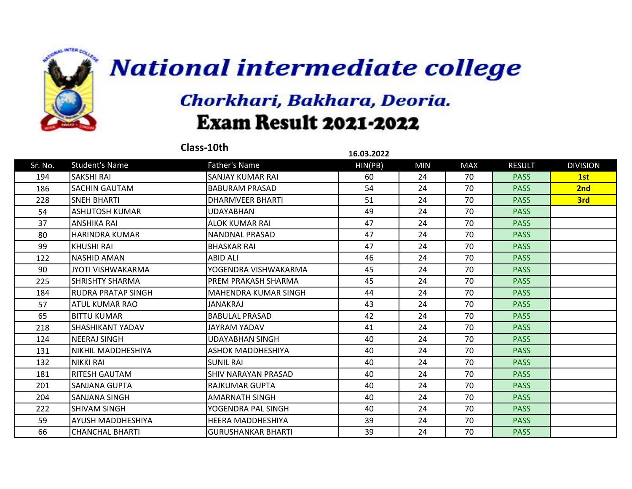

| Class-10th<br>16.03.2022 |                          |                            |         |            |            |               |                 |
|--------------------------|--------------------------|----------------------------|---------|------------|------------|---------------|-----------------|
| Sr. No.                  | <b>Student's Name</b>    | <b>Father's Name</b>       | HIN(PB) | <b>MIN</b> | <b>MAX</b> | <b>RESULT</b> | <b>DIVISION</b> |
| 194                      | <b>SAKSHI RAI</b>        | <b>SANJAY KUMAR RAI</b>    | 60      | 24         | 70         | <b>PASS</b>   | 1st             |
| 186                      | <b>SACHIN GAUTAM</b>     | <b>BABURAM PRASAD</b>      | 54      | 24         | 70         | <b>PASS</b>   | 2nd             |
| 228                      | <b>SNEH BHARTI</b>       | DHARMVEER BHARTI           | 51      | 24         | 70         | <b>PASS</b>   | 3rd             |
| 54                       | <b>ASHUTOSH KUMAR</b>    | <b>UDAYABHAN</b>           | 49      | 24         | 70         | <b>PASS</b>   |                 |
| 37                       | <b>ANSHIKA RAI</b>       | <b>ALOK KUMAR RAI</b>      | 47      | 24         | 70         | <b>PASS</b>   |                 |
| 80                       | <b>HARINDRA KUMAR</b>    | <b>NANDNAL PRASAD</b>      | 47      | 24         | 70         | <b>PASS</b>   |                 |
| 99                       | KHUSHI RAI               | <b>BHASKAR RAI</b>         | 47      | 24         | 70         | <b>PASS</b>   |                 |
| 122                      | <b>NASHID AMAN</b>       | <b>ABID ALI</b>            | 46      | 24         | 70         | <b>PASS</b>   |                 |
| 90                       | <b>JYOTI VISHWAKARMA</b> | YOGENDRA VISHWAKARMA       | 45      | 24         | 70         | <b>PASS</b>   |                 |
| 225                      | <b>SHRISHTY SHARMA</b>   | PREM PRAKASH SHARMA        | 45      | 24         | 70         | <b>PASS</b>   |                 |
| 184                      | RUDRA PRATAP SINGH       | IMAHENDRA KUMAR SINGH      | 44      | 24         | 70         | <b>PASS</b>   |                 |
| 57                       | ATUL KUMAR RAO           | <b>JANAKRAJ</b>            | 43      | 24         | 70         | <b>PASS</b>   |                 |
| 65                       | <b>BITTU KUMAR</b>       | <b>BABULAL PRASAD</b>      | 42      | 24         | 70         | <b>PASS</b>   |                 |
| 218                      | <b>SHASHIKANT YADAV</b>  | <b>JAYRAM YADAV</b>        | 41      | 24         | 70         | <b>PASS</b>   |                 |
| 124                      | <b>NEERAJ SINGH</b>      | <b>UDAYABHAN SINGH</b>     | 40      | 24         | 70         | <b>PASS</b>   |                 |
| 131                      | NIKHIL MADDHESHIYA       | ASHOK MADDHESHIYA          | 40      | 24         | 70         | <b>PASS</b>   |                 |
| 132                      | <b>NIKKI RAI</b>         | <b>SUNIL RAI</b>           | 40      | 24         | 70         | <b>PASS</b>   |                 |
| 181                      | <b>RITESH GAUTAM</b>     | <b>SHIV NARAYAN PRASAD</b> | 40      | 24         | 70         | <b>PASS</b>   |                 |
| 201                      | SANJANA GUPTA            | RAJKUMAR GUPTA             | 40      | 24         | 70         | <b>PASS</b>   |                 |
| 204                      | SANJANA SINGH            | <b>AMARNATH SINGH</b>      | 40      | 24         | 70         | <b>PASS</b>   |                 |
| 222                      | <b>SHIVAM SINGH</b>      | YOGENDRA PAL SINGH         | 40      | 24         | 70         | <b>PASS</b>   |                 |
| 59                       | AYUSH MADDHESHIYA        | <b>HEERA MADDHESHIYA</b>   | 39      | 24         | 70         | <b>PASS</b>   |                 |
| 66                       | <b>CHANCHAL BHARTI</b>   | lGURUSHANKAR BHARTI        | 39      | 24         | 70         | <b>PASS</b>   |                 |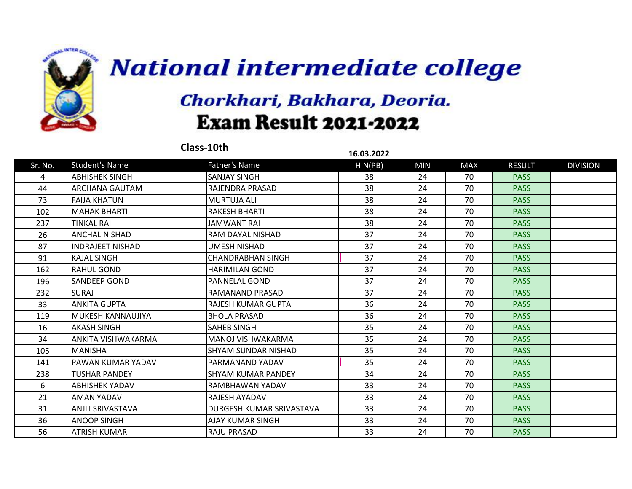

|         |                          | Class-10th                | 16.03.2022 |            |            |               |                 |
|---------|--------------------------|---------------------------|------------|------------|------------|---------------|-----------------|
| Sr. No. | <b>Student's Name</b>    | Father's Name             | HIN(PB)    | <b>MIN</b> | <b>MAX</b> | <b>RESULT</b> | <b>DIVISION</b> |
| 4       | <b>ABHISHEK SINGH</b>    | <b>SANJAY SINGH</b>       | 38         | 24         | 70         | <b>PASS</b>   |                 |
| 44      | ARCHANA GAUTAM           | <b>RAJENDRA PRASAD</b>    | 38         | 24         | 70         | <b>PASS</b>   |                 |
| 73      | <b>FAIJA KHATUN</b>      | MURTUJA ALI               | 38         | 24         | 70         | <b>PASS</b>   |                 |
| 102     | <b>MAHAK BHARTI</b>      | <b>RAKESH BHARTI</b>      | 38         | 24         | 70         | <b>PASS</b>   |                 |
| 237     | <b>TINKAL RAI</b>        | <b>JAMWANT RAI</b>        | 38         | 24         | 70         | <b>PASS</b>   |                 |
| 26      | <b>ANCHAL NISHAD</b>     | RAM DAYAL NISHAD          | 37         | 24         | 70         | <b>PASS</b>   |                 |
| 87      | <b>INDRAJEET NISHAD</b>  | UMESH NISHAD              | 37         | 24         | 70         | <b>PASS</b>   |                 |
| 91      | <b>KAJAL SINGH</b>       | <b>CHANDRABHAN SINGH</b>  | 37         | 24         | 70         | <b>PASS</b>   |                 |
| 162     | <b>RAHUL GOND</b>        | <b>HARIMILAN GOND</b>     | 37         | 24         | 70         | <b>PASS</b>   |                 |
| 196     | SANDEEP GOND             | PANNELAL GOND             | 37         | 24         | 70         | <b>PASS</b>   |                 |
| 232     | <b>SURAJ</b>             | RAMANAND PRASAD           | 37         | 24         | 70         | <b>PASS</b>   |                 |
| 33      | <b>ANKITA GUPTA</b>      | RAJESH KUMAR GUPTA        | 36         | 24         | 70         | <b>PASS</b>   |                 |
| 119     | <b>MUKESH KANNAUJIYA</b> | <b>BHOLA PRASAD</b>       | 36         | 24         | 70         | <b>PASS</b>   |                 |
| 16      | <b>AKASH SINGH</b>       | SAHEB SINGH               | 35         | 24         | 70         | <b>PASS</b>   |                 |
| 34      | ANKITA VISHWAKARMA       | MANOJ VISHWAKARMA         | 35         | 24         | 70         | <b>PASS</b>   |                 |
| 105     | <b>MANISHA</b>           | ISHYAM SUNDAR NISHAD      | 35         | 24         | 70         | <b>PASS</b>   |                 |
| 141     | PAWAN KUMAR YADAV        | IPARMANAND YADAV          | 35         | 24         | 70         | <b>PASS</b>   |                 |
| 238     | <b>TUSHAR PANDEY</b>     | <b>SHYAM KUMAR PANDEY</b> | 34         | 24         | 70         | <b>PASS</b>   |                 |
| 6       | <b>ABHISHEK YADAV</b>    | RAMBHAWAN YADAV           | 33         | 24         | 70         | <b>PASS</b>   |                 |
| 21      | AMAN YADAV               | RAJESH AYADAV             | 33         | 24         | 70         | <b>PASS</b>   |                 |
| 31      | ANJLI SRIVASTAVA         | DURGESH KUMAR SRIVASTAVA  | 33         | 24         | 70         | <b>PASS</b>   |                 |
| 36      | <b>ANOOP SINGH</b>       | AJAY KUMAR SINGH          | 33         | 24         | 70         | <b>PASS</b>   |                 |
| 56      | <b>ATRISH KUMAR</b>      | <b>RAJU PRASAD</b>        | 33         | 24         | 70         | <b>PASS</b>   |                 |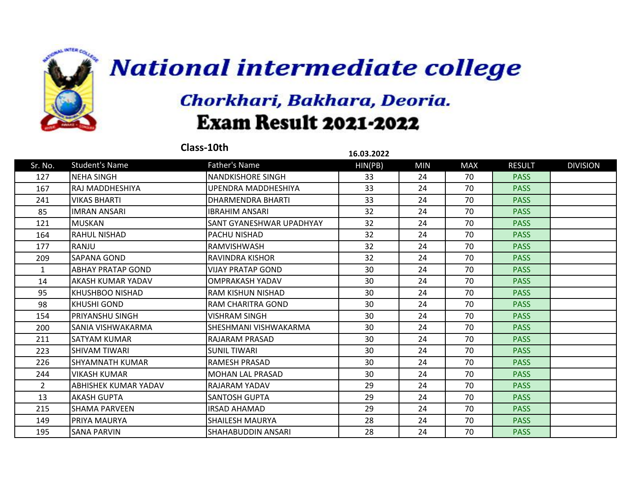

| Class-10th<br>16.03.2022 |                          |                          |         |            |            |               |                 |
|--------------------------|--------------------------|--------------------------|---------|------------|------------|---------------|-----------------|
| Sr. No.                  | <b>Student's Name</b>    | <b>Father's Name</b>     | HIN(PB) | <b>MIN</b> | <b>MAX</b> | <b>RESULT</b> | <b>DIVISION</b> |
| 127                      | <b>NEHA SINGH</b>        | <b>NANDKISHORE SINGH</b> | 33      | 24         | 70         | <b>PASS</b>   |                 |
| 167                      | RAJ MADDHESHIYA          | UPENDRA MADDHESHIYA      | 33      | 24         | 70         | <b>PASS</b>   |                 |
| 241                      | <b>VIKAS BHARTI</b>      | <b>DHARMENDRA BHARTI</b> | 33      | 24         | 70         | <b>PASS</b>   |                 |
| 85                       | <b>IMRAN ANSARI</b>      | <b>IBRAHIM ANSARI</b>    | 32      | 24         | 70         | <b>PASS</b>   |                 |
| 121                      | <b>MUSKAN</b>            | SANT GYANESHWAR UPADHYAY | 32      | 24         | 70         | <b>PASS</b>   |                 |
| 164                      | <b>RAHUL NISHAD</b>      | <b>PACHU NISHAD</b>      | 32      | 24         | 70         | <b>PASS</b>   |                 |
| 177                      | RANJU                    | <b>RAMVISHWASH</b>       | 32      | 24         | 70         | <b>PASS</b>   |                 |
| 209                      | <b>SAPANA GOND</b>       | <b>RAVINDRA KISHOR</b>   | 32      | 24         | 70         | <b>PASS</b>   |                 |
| 1                        | <b>ABHAY PRATAP GOND</b> | VIJAY PRATAP GOND        | 30      | 24         | 70         | <b>PASS</b>   |                 |
| 14                       | AKASH KUMAR YADAV        | <b>OMPRAKASH YADAV</b>   | 30      | 24         | 70         | <b>PASS</b>   |                 |
| 95                       | KHUSHBOO NISHAD          | <b>RAM KISHUN NISHAD</b> | 30      | 24         | 70         | <b>PASS</b>   |                 |
| 98                       | <b>KHUSHI GOND</b>       | <b>RAM CHARITRA GOND</b> | 30      | 24         | 70         | <b>PASS</b>   |                 |
| 154                      | PRIYANSHU SINGH          | <b>VISHRAM SINGH</b>     | 30      | 24         | 70         | <b>PASS</b>   |                 |
| 200                      | SANIA VISHWAKARMA        | SHESHMANI VISHWAKARMA    | 30      | 24         | 70         | <b>PASS</b>   |                 |
| 211                      | <b>SATYAM KUMAR</b>      | <b>RAJARAM PRASAD</b>    | 30      | 24         | 70         | <b>PASS</b>   |                 |
| 223                      | <b>SHIVAM TIWARI</b>     | <b>SUNIL TIWARI</b>      | 30      | 24         | 70         | <b>PASS</b>   |                 |
| 226                      | SHYAMNATH KUMAR          | <b>RAMESH PRASAD</b>     | 30      | 24         | 70         | <b>PASS</b>   |                 |
| 244                      | <b>VIKASH KUMAR</b>      | MOHAN LAL PRASAD         | 30      | 24         | 70         | <b>PASS</b>   |                 |
| $\overline{2}$           | ABHISHEK KUMAR YADAV     | RAJARAM YADAV            | 29      | 24         | 70         | <b>PASS</b>   |                 |
| 13                       | <b>AKASH GUPTA</b>       | <b>SANTOSH GUPTA</b>     | 29      | 24         | 70         | <b>PASS</b>   |                 |
| 215                      | <b>SHAMA PARVEEN</b>     | <b>IRSAD AHAMAD</b>      | 29      | 24         | 70         | <b>PASS</b>   |                 |
| 149                      | PRIYA MAURYA             | <b>SHAILESH MAURYA</b>   | 28      | 24         | 70         | <b>PASS</b>   |                 |
| 195                      | <b>SANA PARVIN</b>       | ISHAHABUDDIN ANSARI      | 28      | 24         | 70         | <b>PASS</b>   |                 |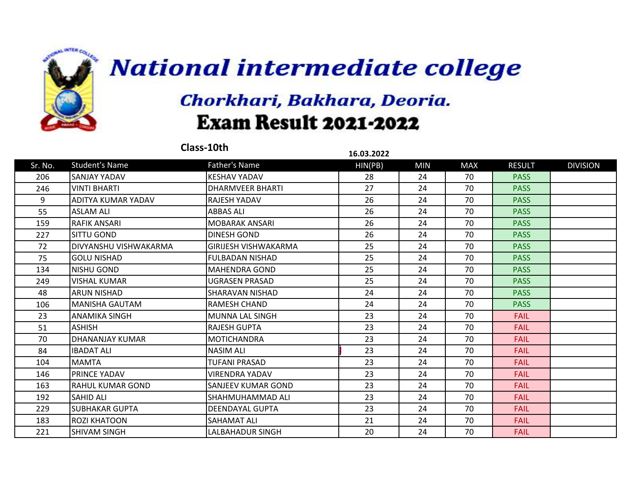

|         |                              | Class-10th                  | 16.03.2022 |            |            |               |                 |
|---------|------------------------------|-----------------------------|------------|------------|------------|---------------|-----------------|
| Sr. No. | <b>Student's Name</b>        | <b>Father's Name</b>        | HIN(PB)    | <b>MIN</b> | <b>MAX</b> | <b>RESULT</b> | <b>DIVISION</b> |
| 206     | <b>SANJAY YADAV</b>          | <b>KESHAV YADAV</b>         | 28         | 24         | 70         | <b>PASS</b>   |                 |
| 246     | VINTI BHARTI                 | <b>DHARMVEER BHARTI</b>     | 27         | 24         | 70         | <b>PASS</b>   |                 |
| 9       | ADITYA KUMAR YADAV           | <b>RAJESH YADAV</b>         | 26         | 24         | 70         | <b>PASS</b>   |                 |
| 55      | <b>ASLAM ALI</b>             | <b>ABBAS ALI</b>            | 26         | 24         | 70         | <b>PASS</b>   |                 |
| 159     | <b>RAFIK ANSARI</b>          | <b>MOBARAK ANSARI</b>       | 26         | 24         | 70         | <b>PASS</b>   |                 |
| 227     | SITTU GOND                   | DINESH GOND                 | 26         | 24         | 70         | <b>PASS</b>   |                 |
| 72      | <b>DIVYANSHU VISHWAKARMA</b> | <b>GIRIJESH VISHWAKARMA</b> | 25         | 24         | 70         | <b>PASS</b>   |                 |
| 75      | <b>GOLU NISHAD</b>           | <b>FULBADAN NISHAD</b>      | 25         | 24         | 70         | <b>PASS</b>   |                 |
| 134     | <b>NISHU GOND</b>            | <b>MAHENDRA GOND</b>        | 25         | 24         | 70         | <b>PASS</b>   |                 |
| 249     | VISHAL KUMAR                 | UGRASEN PRASAD              | 25         | 24         | 70         | <b>PASS</b>   |                 |
| 48      | <b>ARUN NISHAD</b>           | <b>SHARAVAN NISHAD</b>      | 24         | 24         | 70         | <b>PASS</b>   |                 |
| 106     | MANISHA GAUTAM               | <b>RAMESH CHAND</b>         | 24         | 24         | 70         | <b>PASS</b>   |                 |
| 23      | ANAMIKA SINGH                | MUNNA LAL SINGH             | 23         | 24         | 70         | <b>FAIL</b>   |                 |
| 51      | <b>ASHISH</b>                | <b>RAJESH GUPTA</b>         | 23         | 24         | 70         | <b>FAIL</b>   |                 |
| 70      | <b>DHANANJAY KUMAR</b>       | <b>MOTICHANDRA</b>          | 23         | 24         | 70         | <b>FAIL</b>   |                 |
| 84      | <b>IBADAT ALI</b>            | <b>NASIM ALI</b>            | 23         | 24         | 70         | <b>FAIL</b>   |                 |
| 104     | <b>MAMTA</b>                 | <b>TUFANI PRASAD</b>        | 23         | 24         | 70         | <b>FAIL</b>   |                 |
| 146     | <b>PRINCE YADAV</b>          | <b>VIRENDRA YADAV</b>       | 23         | 24         | 70         | <b>FAIL</b>   |                 |
| 163     | <b>RAHUL KUMAR GOND</b>      | lSANJEEV KUMAR GOND         | 23         | 24         | 70         | <b>FAIL</b>   |                 |
| 192     | <b>SAHID ALI</b>             | ISHAHMUHAMMAD ALI           | 23         | 24         | 70         | <b>FAIL</b>   |                 |
| 229     | <b>SUBHAKAR GUPTA</b>        | <b>DEENDAYAL GUPTA</b>      | 23         | 24         | 70         | <b>FAIL</b>   |                 |
| 183     | <b>ROZI KHATOON</b>          | <b>SAHAMAT ALI</b>          | 21         | 24         | 70         | <b>FAIL</b>   |                 |
| 221     | <b>SHIVAM SINGH</b>          | LALBAHADUR SINGH            | 20         | 24         | 70         | <b>FAIL</b>   |                 |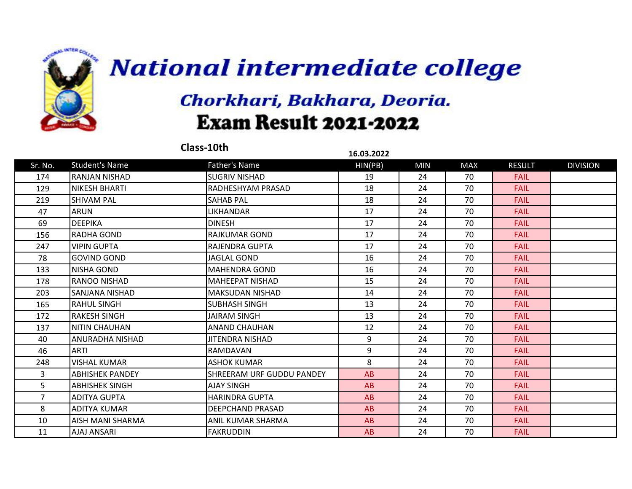

|                |                        | Class-10th                       | 16.03.2022 |            |            |               |                 |
|----------------|------------------------|----------------------------------|------------|------------|------------|---------------|-----------------|
| Sr. No.        | <b>Student's Name</b>  | Father's Name                    | HIN(PB)    | <b>MIN</b> | <b>MAX</b> | <b>RESULT</b> | <b>DIVISION</b> |
| 174            | <b>RANJAN NISHAD</b>   | <b>SUGRIV NISHAD</b>             | 19         | 24         | 70         | <b>FAIL</b>   |                 |
| 129            | <b>NIKESH BHARTI</b>   | <b>RADHESHYAM PRASAD</b>         | 18         | 24         | 70         | <b>FAIL</b>   |                 |
| 219            | <b>SHIVAM PAL</b>      | <b>SAHAB PAL</b>                 | 18         | 24         | 70         | <b>FAIL</b>   |                 |
| 47             | <b>ARUN</b>            | LIKHANDAR                        | 17         | 24         | 70         | <b>FAIL</b>   |                 |
| 69             | <b>DEEPIKA</b>         | <b>DINESH</b>                    | 17         | 24         | 70         | <b>FAIL</b>   |                 |
| 156            | RADHA GOND             | <b>RAJKUMAR GOND</b>             | 17         | 24         | 70         | <b>FAIL</b>   |                 |
| 247            | <b>VIPIN GUPTA</b>     | RAJENDRA GUPTA                   | 17         | 24         | 70         | <b>FAIL</b>   |                 |
| 78             | <b>GOVIND GOND</b>     | <b>JAGLAL GOND</b>               | 16         | 24         | 70         | <b>FAIL</b>   |                 |
| 133            | <b>NISHA GOND</b>      | <b>MAHENDRA GOND</b>             | 16         | 24         | 70         | <b>FAIL</b>   |                 |
| 178            | <b>RANOO NISHAD</b>    | <b>MAHEEPAT NISHAD</b>           | 15         | 24         | 70         | <b>FAIL</b>   |                 |
| 203            | SANJANA NISHAD         | <b>MAKSUDAN NISHAD</b>           | 14         | 24         | 70         | <b>FAIL</b>   |                 |
| 165            | <b>RAHUL SINGH</b>     | <b>SUBHASH SINGH</b>             | 13         | 24         | 70         | <b>FAIL</b>   |                 |
| 172            | <b>RAKESH SINGH</b>    | <b>JAIRAM SINGH</b>              | 13         | 24         | 70         | <b>FAIL</b>   |                 |
| 137            | <b>NITIN CHAUHAN</b>   | <b>ANAND CHAUHAN</b>             | 12         | 24         | 70         | <b>FAIL</b>   |                 |
| 40             | ANURADHA NISHAD        | JITENDRA NISHAD                  | 9          | 24         | 70         | <b>FAIL</b>   |                 |
| 46             | <b>ARTI</b>            | <b>RAMDAVAN</b>                  | 9          | 24         | 70         | <b>FAIL</b>   |                 |
| 248            | <b>VISHAL KUMAR</b>    | <b>ASHOK KUMAR</b>               | 8          | 24         | 70         | <b>FAIL</b>   |                 |
| 3              | <b>ABHISHEK PANDEY</b> | <b>SHREERAM URF GUDDU PANDEY</b> | AB         | 24         | 70         | <b>FAIL</b>   |                 |
| 5              | <b>ABHISHEK SINGH</b>  | <b>AJAY SINGH</b>                | AB         | 24         | 70         | <b>FAIL</b>   |                 |
| $\overline{7}$ | <b>ADITYA GUPTA</b>    | HARINDRA GUPTA                   | AB         | 24         | 70         | <b>FAIL</b>   |                 |
| 8              | ADITYA KUMAR           | DEEPCHAND PRASAD                 | AB         | 24         | 70         | <b>FAIL</b>   |                 |
| 10             | AISH MANI SHARMA       | ANIL KUMAR SHARMA                | AB         | 24         | 70         | <b>FAIL</b>   |                 |
| 11             | AJAJ ANSARI            | <b>FAKRUDDIN</b>                 | AB         | 24         | 70         | <b>FAIL</b>   |                 |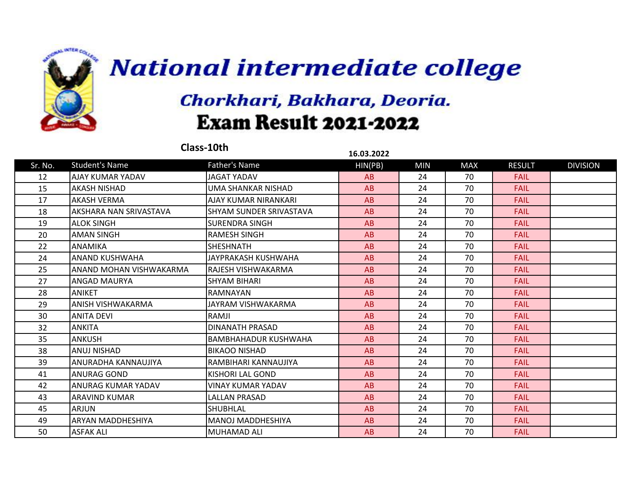

|         |                         | Class-10th                  | 16.03.2022 |            |            |               |                 |
|---------|-------------------------|-----------------------------|------------|------------|------------|---------------|-----------------|
| Sr. No. | <b>Student's Name</b>   | Father's Name               | HIN(PB)    | <b>MIN</b> | <b>MAX</b> | <b>RESULT</b> | <b>DIVISION</b> |
| 12      | AJAY KUMAR YADAV        | <b>JAGAT YADAV</b>          | AB         | 24         | 70         | <b>FAIL</b>   |                 |
| 15      | <b>AKASH NISHAD</b>     | UMA SHANKAR NISHAD          | AB         | 24         | 70         | <b>FAIL</b>   |                 |
| 17      | <b>AKASH VERMA</b>      | AJAY KUMAR NIRANKARI        | AB         | 24         | 70         | <b>FAIL</b>   |                 |
| 18      | AKSHARA NAN SRIVASTAVA  | ISHYAM SUNDER SRIVASTAVA    | AB         | 24         | 70         | <b>FAIL</b>   |                 |
| 19      | <b>ALOK SINGH</b>       | <b>I</b> SURENDRA SINGH     | AB         | 24         | 70         | <b>FAIL</b>   |                 |
| 20      | <b>AMAN SINGH</b>       | <b>RAMESH SINGH</b>         | AB         | 24         | 70         | <b>FAIL</b>   |                 |
| 22      | <b>ANAMIKA</b>          | <b>SHESHNATH</b>            | AB         | 24         | 70         | <b>FAIL</b>   |                 |
| 24      | ANAND KUSHWAHA          | JAYPRAKASH KUSHWAHA         | AB         | 24         | 70         | <b>FAIL</b>   |                 |
| 25      | ANAND MOHAN VISHWAKARMA | IRAJESH VISHWAKARMA         | AB         | 24         | 70         | <b>FAIL</b>   |                 |
| 27      | <b>ANGAD MAURYA</b>     | ISHYAM BIHARI               | AB         | 24         | 70         | <b>FAIL</b>   |                 |
| 28      | <b>ANIKET</b>           | <b>RAMNAYAN</b>             | AB         | 24         | 70         | <b>FAIL</b>   |                 |
| 29      | ANISH VISHWAKARMA       | JAYRAM VISHWAKARMA          | AB         | 24         | 70         | <b>FAIL</b>   |                 |
| 30      | <b>ANITA DEVI</b>       | RAMJI                       | AB         | 24         | 70         | <b>FAIL</b>   |                 |
| 32      | <b>ANKITA</b>           | DINANATH PRASAD             | AB         | 24         | 70         | <b>FAIL</b>   |                 |
| 35      | <b>ANKUSH</b>           | <b>BAMBHAHADUR KUSHWAHA</b> | AB         | 24         | 70         | <b>FAIL</b>   |                 |
| 38      | <b>ANUJ NISHAD</b>      | IBIKAOO NISHAD              | AB         | 24         | 70         | <b>FAIL</b>   |                 |
| 39      | ANURADHA KANNAUJIYA     | İRAMBIHARI KANNAUJIYA       | AB         | 24         | 70         | <b>FAIL</b>   |                 |
| 41      | <b>ANURAG GOND</b>      | KISHORI LAL GOND            | AB         | 24         | 70         | <b>FAIL</b>   |                 |
| 42      | ANURAG KUMAR YADAV      | <b>VINAY KUMAR YADAV</b>    | AB         | 24         | 70         | <b>FAIL</b>   |                 |
| 43      | <b>ARAVIND KUMAR</b>    | <b>LALLAN PRASAD</b>        | AB         | 24         | 70         | <b>FAIL</b>   |                 |
| 45      | <b>ARJUN</b>            | <b>SHUBHLAL</b>             | AB         | 24         | 70         | <b>FAIL</b>   |                 |
| 49      | ARYAN MADDHESHIYA       | MANOJ MADDHESHIYA           | AB         | 24         | 70         | <b>FAIL</b>   |                 |
| 50      | <b>ASFAK ALI</b>        | MUHAMAD ALI                 | AB         | 24         | 70         | <b>FAIL</b>   |                 |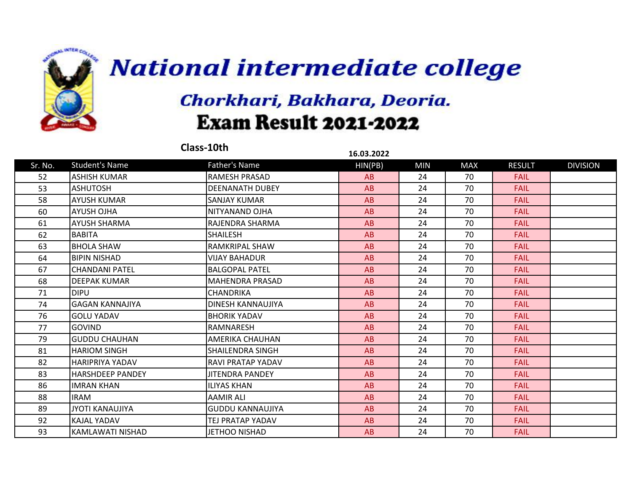

|         |                         | Class-10th              | 16.03.2022 |            |            |               |                 |
|---------|-------------------------|-------------------------|------------|------------|------------|---------------|-----------------|
| Sr. No. | <b>Student's Name</b>   | Father's Name           | HIN(PB)    | <b>MIN</b> | <b>MAX</b> | <b>RESULT</b> | <b>DIVISION</b> |
| 52      | <b>ASHISH KUMAR</b>     | <b>RAMESH PRASAD</b>    | AB         | 24         | 70         | <b>FAIL</b>   |                 |
| 53      | <b>ASHUTOSH</b>         | <b>DEENANATH DUBEY</b>  | AB         | 24         | 70         | <b>FAIL</b>   |                 |
| 58      | <b>AYUSH KUMAR</b>      | <b>SANJAY KUMAR</b>     | AB         | 24         | 70         | <b>FAIL</b>   |                 |
| 60      | <b>AYUSH OJHA</b>       | INITYANAND OJHA         | AB         | 24         | 70         | <b>FAIL</b>   |                 |
| 61      | <b>AYUSH SHARMA</b>     | RAJENDRA SHARMA         | AB         | 24         | 70         | <b>FAIL</b>   |                 |
| 62      | <b>BABITA</b>           | <b>SHAILESH</b>         | AB         | 24         | 70         | <b>FAIL</b>   |                 |
| 63      | <b>BHOLA SHAW</b>       | <b>RAMKRIPAL SHAW</b>   | AB         | 24         | 70         | <b>FAIL</b>   |                 |
| 64      | <b>BIPIN NISHAD</b>     | VIJAY BAHADUR           | AB         | 24         | 70         | <b>FAIL</b>   |                 |
| 67      | <b>CHANDANI PATEL</b>   | <b>BALGOPAL PATEL</b>   | AB         | 24         | 70         | <b>FAIL</b>   |                 |
| 68      | <b>DEEPAK KUMAR</b>     | <b>MAHENDRA PRASAD</b>  | AB         | 24         | 70         | <b>FAIL</b>   |                 |
| 71      | <b>DIPU</b>             | <b>CHANDRIKA</b>        | AB         | 24         | 70         | <b>FAIL</b>   |                 |
| 74      | <b>GAGAN KANNAJIYA</b>  | DINESH KANNAUJIYA       | AB         | 24         | 70         | <b>FAIL</b>   |                 |
| 76      | <b>GOLU YADAV</b>       | <b>BHORIK YADAV</b>     | AB         | 24         | 70         | <b>FAIL</b>   |                 |
| 77      | <b>GOVIND</b>           | RAMNARESH               | AB         | 24         | 70         | <b>FAIL</b>   |                 |
| 79      | <b>GUDDU CHAUHAN</b>    | AMERIKA CHAUHAN         | AB         | 24         | 70         | <b>FAIL</b>   |                 |
| 81      | <b>HARIOM SINGH</b>     | SHAILENDRA SINGH        | AB         | 24         | 70         | <b>FAIL</b>   |                 |
| 82      | HARIPRIYA YADAV         | IRAVI PRATAP YADAV      | AB         | 24         | 70         | <b>FAIL</b>   |                 |
| 83      | <b>HARSHDEEP PANDEY</b> | <b>JITENDRA PANDEY</b>  | AB         | 24         | 70         | <b>FAIL</b>   |                 |
| 86      | <b>IMRAN KHAN</b>       | <b>ILIYAS KHAN</b>      | AB         | 24         | 70         | <b>FAIL</b>   |                 |
| 88      | <b>IRAM</b>             | <b>AAMIR ALI</b>        | AB         | 24         | 70         | <b>FAIL</b>   |                 |
| 89      | <b>JYOTI KANAUJIYA</b>  | <b>GUDDU KANNAUJIYA</b> | AB         | 24         | 70         | <b>FAIL</b>   |                 |
| 92      | KAJAL YADAV             | TEJ PRATAP YADAV        | AB         | 24         | 70         | <b>FAIL</b>   |                 |
| 93      | KAMLAWATI NISHAD        | <b>JETHOO NISHAD</b>    | AB         | 24         | 70         | <b>FAIL</b>   |                 |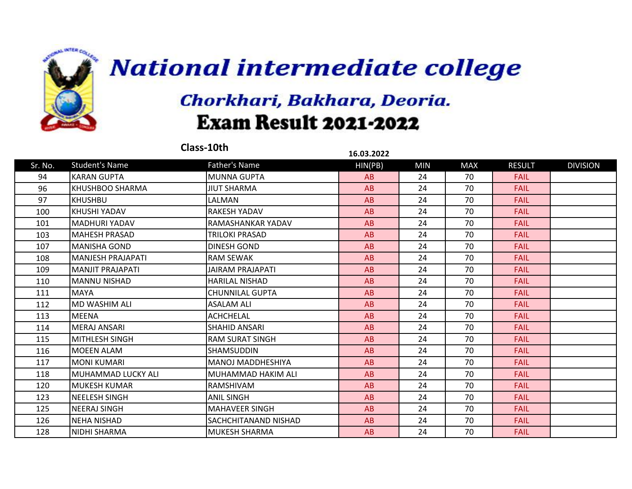

|         |                          | Class-10th                  | 16.03.2022 |            |            |               |                 |
|---------|--------------------------|-----------------------------|------------|------------|------------|---------------|-----------------|
| Sr. No. | <b>Student's Name</b>    | Father's Name               | HIN(PB)    | <b>MIN</b> | <b>MAX</b> | <b>RESULT</b> | <b>DIVISION</b> |
| 94      | <b>KARAN GUPTA</b>       | <b>MUNNA GUPTA</b>          | AB         | 24         | 70         | <b>FAIL</b>   |                 |
| 96      | KHUSHBOO SHARMA          | <b>JIUT SHARMA</b>          | AB         | 24         | 70         | <b>FAIL</b>   |                 |
| 97      | <b>KHUSHBU</b>           | LALMAN                      | AB         | 24         | 70         | <b>FAIL</b>   |                 |
| 100     | <b>KHUSHI YADAV</b>      | <b>RAKESH YADAV</b>         | AB         | 24         | 70         | <b>FAIL</b>   |                 |
| 101     | <b>MADHURI YADAV</b>     | RAMASHANKAR YADAV           | AB         | 24         | 70         | <b>FAIL</b>   |                 |
| 103     | <b>MAHESH PRASAD</b>     | <b>TRILOKI PRASAD</b>       | AB         | 24         | 70         | <b>FAIL</b>   |                 |
| 107     | <b>MANISHA GOND</b>      | DINESH GOND                 | AB         | 24         | 70         | <b>FAIL</b>   |                 |
| 108     | <b>MANJESH PRAJAPATI</b> | <b>RAM SEWAK</b>            | AB         | 24         | 70         | <b>FAIL</b>   |                 |
| 109     | <b>MANJIT PRAJAPATI</b>  | <b>JAIRAM PRAJAPATI</b>     | AB         | 24         | 70         | <b>FAIL</b>   |                 |
| 110     | <b>MANNU NISHAD</b>      | <b>HARILAL NISHAD</b>       | AB         | 24         | 70         | <b>FAIL</b>   |                 |
| 111     | <b>MAYA</b>              | <b>CHUNNILAL GUPTA</b>      | AB         | 24         | 70         | <b>FAIL</b>   |                 |
| 112     | MD WASHIM ALI            | <b>ASALAM ALI</b>           | AB         | 24         | 70         | <b>FAIL</b>   |                 |
| 113     | <b>MEENA</b>             | <b>ACHCHELAL</b>            | AB         | 24         | 70         | <b>FAIL</b>   |                 |
| 114     | <b>MERAJ ANSARI</b>      | <b>SHAHID ANSARI</b>        | AB         | 24         | 70         | <b>FAIL</b>   |                 |
| 115     | <b>MITHLESH SINGH</b>    | <b>RAM SURAT SINGH</b>      | AB         | 24         | 70         | <b>FAIL</b>   |                 |
| 116     | <b>MOEEN ALAM</b>        | <b>SHAMSUDDIN</b>           | AB         | 24         | 70         | <b>FAIL</b>   |                 |
| 117     | <b>MONI KUMARI</b>       | MANOJ MADDHESHIYA           | AB         | 24         | 70         | <b>FAIL</b>   |                 |
| 118     | MUHAMMAD LUCKY ALI       | MUHAMMAD HAKIM ALI          | AB         | 24         | 70         | <b>FAIL</b>   |                 |
| 120     | <b>MUKESH KUMAR</b>      | <b>RAMSHIVAM</b>            | AB         | 24         | 70         | <b>FAIL</b>   |                 |
| 123     | <b>NEELESH SINGH</b>     | <b>ANIL SINGH</b>           | AB         | 24         | 70         | <b>FAIL</b>   |                 |
| 125     | <b>NEERAJ SINGH</b>      | <b>MAHAVEER SINGH</b>       | AB         | 24         | 70         | <b>FAIL</b>   |                 |
| 126     | <b>NEHA NISHAD</b>       | <b>SACHCHITANAND NISHAD</b> | AB         | 24         | 70         | <b>FAIL</b>   |                 |
| 128     | NIDHI SHARMA             | MUKESH SHARMA               | AB         | 24         | 70         | <b>FAIL</b>   |                 |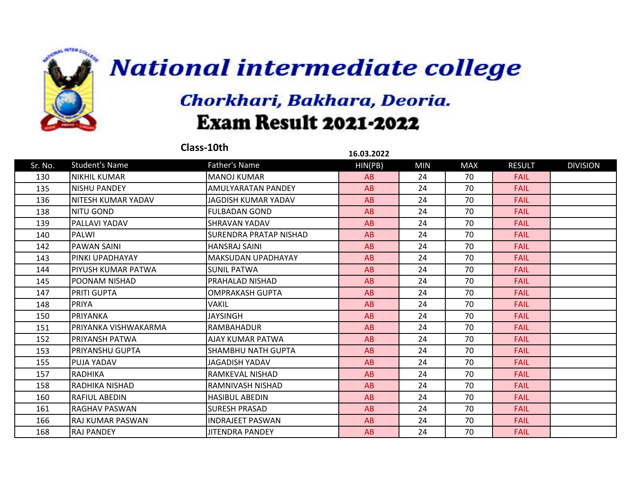

|         |                         | Class-10th              | 16.03.2022 |            |            |               |                 |
|---------|-------------------------|-------------------------|------------|------------|------------|---------------|-----------------|
| Sr. No. | <b>Student's Name</b>   | Father's Name           | HIN(PB)    | <b>MIN</b> | <b>MAX</b> | <b>RESULT</b> | <b>DIVISION</b> |
| 130     | <b>NIKHIL KUMAR</b>     | MANOJ KUMAR             | AB         | 24         | 70         | <b>FAIL</b>   |                 |
| 135     | <b>NISHU PANDEY</b>     | IAMULYARATAN PANDEY     | AB         | 24         | 70         | <b>FAIL</b>   |                 |
| 136     | INITESH KUMAR YADAV     | JAGDISH KUMAR YADAV     | AB         | 24         | 70         | <b>FAIL</b>   |                 |
| 138     | <b>NITU GOND</b>        | <b>FULBADAN GOND</b>    | AB         | 24         | 70         | <b>FAIL</b>   |                 |
| 139     | <b>PALLAVI YADAV</b>    | ISHRAVAN YADAV          | AB         | 24         | 70         | <b>FAIL</b>   |                 |
| 140     | PALWI                   | ISURENDRA PRATAP NISHAD | AB         | 24         | 70         | <b>FAIL</b>   |                 |
| 142     | <b>PAWAN SAINI</b>      | <b>HANSRAJ SAINI</b>    | AB         | 24         | 70         | <b>FAIL</b>   |                 |
| 143     | PINKI UPADHAYAY         | MAKSUDAN UPADHAYAY      | AB         | 24         | 70         | <b>FAIL</b>   |                 |
| 144     | PIYUSH KUMAR PATWA      | ISUNIL PATWA            | AB         | 24         | 70         | <b>FAIL</b>   |                 |
| 145     | POONAM NISHAD           | PRAHALAD NISHAD         | AB         | 24         | 70         | <b>FAIL</b>   |                 |
| 147     | <b>PRITI GUPTA</b>      | <b>OMPRAKASH GUPTA</b>  | AB         | 24         | 70         | <b>FAIL</b>   |                 |
| 148     | <b>PRIYA</b>            | <b>VAKIL</b>            | AB         | 24         | 70         | <b>FAIL</b>   |                 |
| 150     | PRIYANKA                | <b>JAYSINGH</b>         | AB         | 24         | 70         | <b>FAIL</b>   |                 |
| 151     | PRIYANKA VISHWAKARMA    | RAMBAHADUR              | AB         | 24         | 70         | <b>FAIL</b>   |                 |
| 152     | PRIYANSH PATWA          | <b>AJAY KUMAR PATWA</b> | AB         | 24         | 70         | <b>FAIL</b>   |                 |
| 153     | <b>PRIYANSHU GUPTA</b>  | ISHAMBHU NATH GUPTA     | AB         | 24         | 70         | <b>FAIL</b>   |                 |
| 155     | <b>PUJA YADAV</b>       | JAGADISH YADAV          | AB         | 24         | 70         | <b>FAIL</b>   |                 |
| 157     | <b>RADHIKA</b>          | RAMKEVAL NISHAD         | AB         | 24         | 70         | <b>FAIL</b>   |                 |
| 158     | RADHIKA NISHAD          | RAMNIVASH NISHAD        | AB         | 24         | 70         | <b>FAIL</b>   |                 |
| 160     | <b>RAFIUL ABEDIN</b>    | <b>HASIBUL ABEDIN</b>   | AB         | 24         | 70         | <b>FAIL</b>   |                 |
| 161     | RAGHAV PASWAN           | <b>SURESH PRASAD</b>    | AB         | 24         | 70         | <b>FAIL</b>   |                 |
| 166     | <b>RAJ KUMAR PASWAN</b> | <b>INDRAJEET PASWAN</b> | AB         | 24         | 70         | <b>FAIL</b>   |                 |
| 168     | <b>RAJ PANDEY</b>       | <b>JITENDRA PANDEY</b>  | AB         | 24         | 70         | <b>FAIL</b>   |                 |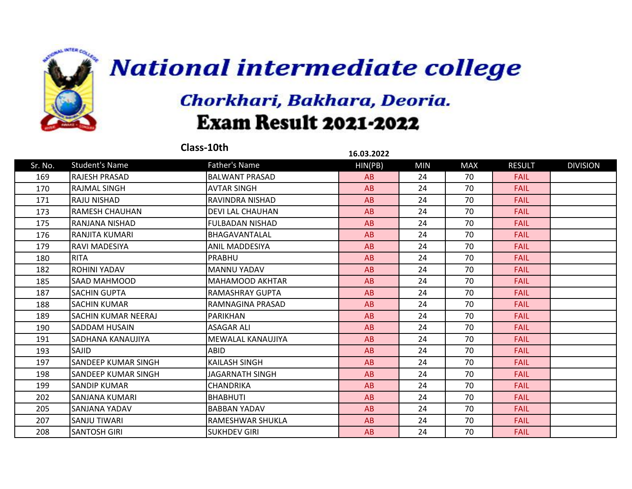

|         |                            | Class-10th              | 16.03.2022 |            |            |               |                 |
|---------|----------------------------|-------------------------|------------|------------|------------|---------------|-----------------|
| Sr. No. | <b>Student's Name</b>      | Father's Name           | HIN(PB)    | <b>MIN</b> | <b>MAX</b> | <b>RESULT</b> | <b>DIVISION</b> |
| 169     | IRAJESH PRASAD             | BALWANT PRASAD          | AB         | 24         | 70         | <b>FAIL</b>   |                 |
| 170     | <b>RAJMAL SINGH</b>        | <b>AVTAR SINGH</b>      | AB         | 24         | 70         | <b>FAIL</b>   |                 |
| 171     | <b>RAJU NISHAD</b>         | IRAVINDRA NISHAD        | AB         | 24         | 70         | <b>FAIL</b>   |                 |
| 173     | RAMESH CHAUHAN             | <b>DEVI LAL CHAUHAN</b> | AB         | 24         | 70         | <b>FAIL</b>   |                 |
| 175     | IRANJANA NISHAD            | FULBADAN NISHAD         | AB         | 24         | 70         | <b>FAIL</b>   |                 |
| 176     | RANJITA KUMARI             | IBHAGAVANTALAL          | AB         | 24         | 70         | <b>FAIL</b>   |                 |
| 179     | IRAVI MADESIYA             | ANIL MADDESIYA          | AB         | 24         | 70         | <b>FAIL</b>   |                 |
| 180     | <b>RITA</b>                | PRABHU                  | AB         | 24         | 70         | <b>FAIL</b>   |                 |
| 182     | <b>ROHINI YADAV</b>        | <b>MANNU YADAV</b>      | AB         | 24         | 70         | <b>FAIL</b>   |                 |
| 185     | SAAD MAHMOOD               | MAHAMOOD AKHTAR         | AB         | 24         | 70         | <b>FAIL</b>   |                 |
| 187     | <b>SACHIN GUPTA</b>        | <b>RAMASHRAY GUPTA</b>  | AB         | 24         | 70         | <b>FAIL</b>   |                 |
| 188     | <b>SACHIN KUMAR</b>        | RAMNAGINA PRASAD        | AB         | 24         | 70         | <b>FAIL</b>   |                 |
| 189     | <b>SACHIN KUMAR NEERAJ</b> | <b>PARIKHAN</b>         | AB         | 24         | 70         | <b>FAIL</b>   |                 |
| 190     | <b>SADDAM HUSAIN</b>       | <b>ASAGAR ALI</b>       | AB         | 24         | 70         | <b>FAIL</b>   |                 |
| 191     | <b>SADHANA KANAUJIYA</b>   | İMEWALAL KANAUJIYA      | AB         | 24         | 70         | <b>FAIL</b>   |                 |
| 193     | <b>SAJID</b>               | <b>ABID</b>             | AB         | 24         | 70         | <b>FAIL</b>   |                 |
| 197     | <b>SANDEEP KUMAR SINGH</b> | <b>KAILASH SINGH</b>    | AB         | 24         | 70         | <b>FAIL</b>   |                 |
| 198     | ISANDEEP KUMAR SINGH       | JAGARNATH SINGH         | AB         | 24         | 70         | <b>FAIL</b>   |                 |
| 199     | <b>SANDIP KUMAR</b>        | <b>CHANDRIKA</b>        | AB         | 24         | 70         | <b>FAIL</b>   |                 |
| 202     | <b>SANJANA KUMARI</b>      | <b>BHABHUTI</b>         | AB         | 24         | 70         | <b>FAIL</b>   |                 |
| 205     | <b>SANJANA YADAV</b>       | <b>BABBAN YADAV</b>     | AB         | 24         | 70         | <b>FAIL</b>   |                 |
| 207     | <b>SANJU TIWARI</b>        | RAMESHWAR SHUKLA        | AB         | 24         | 70         | <b>FAIL</b>   |                 |
| 208     | <b>SANTOSH GIRI</b>        | <b>SUKHDEV GIRI</b>     | AB         | 24         | 70         | <b>FAIL</b>   |                 |